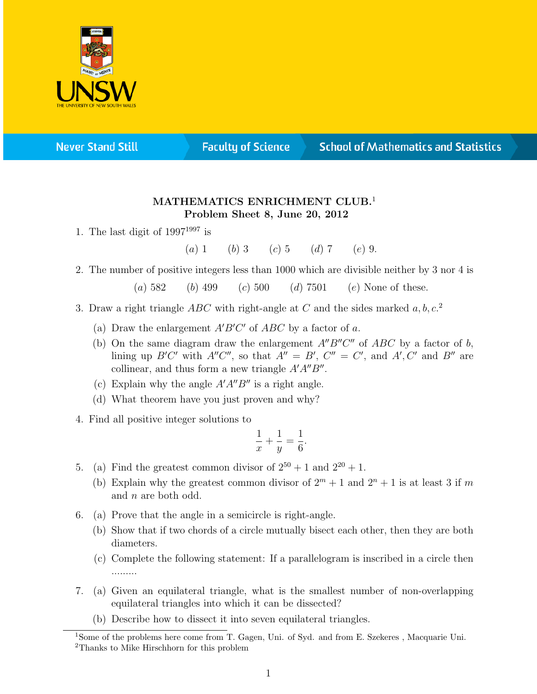

**Never Stand Still** 

**Faculty of Science** 

## **School of Mathematics and Statistics**

## MATHEMATICS ENRICHMENT CLUB.<sup>1</sup> Problem Sheet 8, June 20, 2012

1. The last digit of  $1997^{1997}$  is

(a) 1 (b) 3 (c) 5 (d) 7 (e) 9.

2. The number of positive integers less than 1000 which are divisible neither by 3 nor 4 is

(a)  $582$  (b)  $499$  (c)  $500$  (d)  $7501$  (e) None of these.

- 3. Draw a right triangle  $ABC$  with right-angle at C and the sides marked  $a, b, c$ <sup>2</sup>
	- (a) Draw the enlargement  $A'B'C'$  of  $ABC$  by a factor of a.
	- (b) On the same diagram draw the enlargement  $A''B''C''$  of  $ABC$  by a factor of b, lining up B'C' with  $A''C''$ , so that  $A'' = B'$ ,  $C'' = C'$ , and  $A'$ ,  $C'$  and  $B''$  are collinear, and thus form a new triangle  $A'A''B''$ .
	- (c) Explain why the angle  $A'A''B''$  is a right angle.
	- (d) What theorem have you just proven and why?
- 4. Find all positive integer solutions to

$$
\frac{1}{x} + \frac{1}{y} = \frac{1}{6}.
$$

- 5. (a) Find the greatest common divisor of  $2^{50} + 1$  and  $2^{20} + 1$ .
	- (b) Explain why the greatest common divisor of  $2^m + 1$  and  $2^n + 1$  is at least 3 if m and n are both odd.
- 6. (a) Prove that the angle in a semicircle is right-angle.
	- (b) Show that if two chords of a circle mutually bisect each other, then they are both diameters.
	- (c) Complete the following statement: If a parallelogram is inscribed in a circle then .........
- 7. (a) Given an equilateral triangle, what is the smallest number of non-overlapping equilateral triangles into which it can be dissected?
	- (b) Describe how to dissect it into seven equilateral triangles.

<sup>&</sup>lt;sup>1</sup>Some of the problems here come from T. Gagen, Uni. of Syd. and from E. Szekeres, Macquarie Uni. <sup>2</sup>Thanks to Mike Hirschhorn for this problem